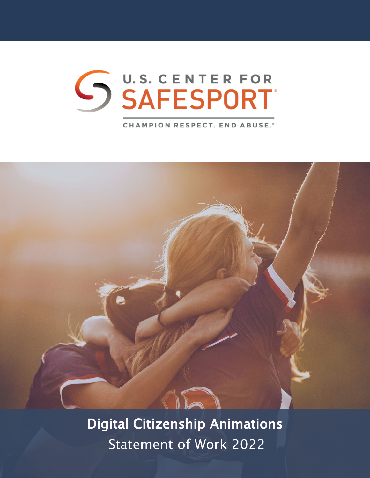**CHAMPION RESPECT. END ABUSE.**\*



Digital Citizenship Animations Statement of Work 2022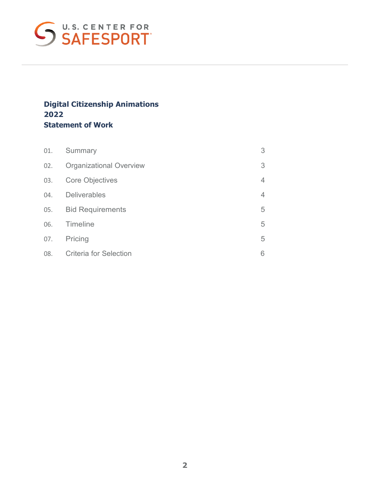

### **Digital Citizenship Animations 2022 Statement of Work**

| 01. | Summary                        | 3 |
|-----|--------------------------------|---|
| 02. | <b>Organizational Overview</b> | 3 |
| 03. | <b>Core Objectives</b>         | 4 |
|     | 04. Deliverables               | 4 |
|     | 05. Bid Requirements           | 5 |
|     | 06. Timeline                   | 5 |
| 07. | Pricing                        | 5 |
| 08. | <b>Criteria for Selection</b>  | 6 |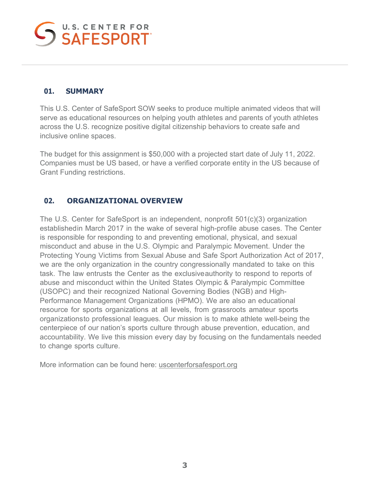### <span id="page-2-0"></span>**01. SUMMARY**

This U.S. Center of SafeSport SOW seeks to produce multiple animated videos that will serve as educational resources on helping youth athletes and parents of youth athletes across the U.S. recognize positive digital citizenship behaviors to create safe and inclusive online spaces.

The budget for this assignment is \$50,000 with a projected start date of July 11, 2022. Companies must be US based, or have a verified corporate entity in the US because of Grant Funding restrictions.

### **02. ORGANIZATIONAL OVERVIEW**

The U.S. Center for SafeSport is an independent, nonprofit 501(c)(3) organization establishedin March 2017 in the wake of several high-profile abuse cases. The Center is responsible for responding to and preventing emotional, physical, and sexual misconduct and abuse in the U.S. Olympic and Paralympic Movement. Under the Protecting Young Victims from Sexual Abuse and Safe Sport Authorization Act of 2017, we are the only organization in the country congressionally mandated to take on this task. The law entrusts the Center as the exclusive authority to respond to reports of abuse and misconduct within the United States Olympic & Paralympic Committee (USOPC) and their recognized National Governing Bodies (NGB) and High-Performance Management Organizations (HPMO). We are also an educational resource for sports organizations at all levels, from grassroots amateur sports organizationsto professional leagues. Our mission is to make athlete well-being the centerpiece of our nation's sports culture through abuse prevention, education, and accountability. We live this mission every day by focusing on the fundamentals needed to change sports culture.

More information can be found here: [uscenterforsafesport.org](http://uscenterforsafesport.org/)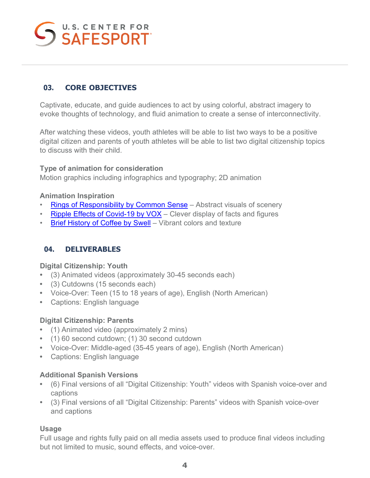# U.S. CENTER FOR

### <span id="page-3-0"></span>**03. CORE OBJECTIVES**

Captivate, educate, and guide audiences to act by using colorful, abstract imagery to evoke thoughts of technology, and fluid animation to create a sense of interconnectivity.

After watching these videos, youth athletes will be able to list two ways to be a positive digital citizen and parents of youth athletes will be able to list two digital citizenship topics to discuss with their child.

### **Type of animation for consideration**

Motion graphics including infographics and typography; 2D animation

### **Animation Inspiration**

- [Rings of Responsibility by Common Sense](https://www.commonsense.org/education/videos/rings-of-responsibility)  Abstract visuals of scenery
- [Ripple Effects of Covid-19 by VOX](https://www.youtube.com/watch?v=XB-X2NH0rec)  Clever display of facts and figures
- [Brief History of Coffee by Swell](https://vimeo.com/220519468)  Vibrant colors and texture

### **04. DELIVERABLES**

### **Digital Citizenship: Youth**

- (3) Animated videos (approximately 30-45 seconds each)
- (3) Cutdowns (15 seconds each)
- Voice-Over: Teen (15 to 18 years of age), English (North American)
- Captions: English language

### **Digital Citizenship: Parents**

- (1) Animated video (approximately 2 mins)
- (1) 60 second cutdown; (1) 30 second cutdown
- Voice-Over: Middle-aged (35-45 years of age), English (North American)
- Captions: English language

### **Additional Spanish Versions**

- (6) Final versions of all "Digital Citizenship: Youth" videos with Spanish voice-over and captions
- (3) Final versions of all "Digital Citizenship: Parents" videos with Spanish voice-over and captions

### **Usage**

<span id="page-3-1"></span>Full usage and rights fully paid on all media assets used to produce final videos including but not limited to music, sound effects, and voice-over.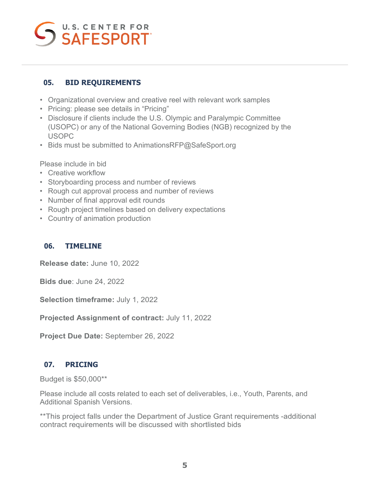### **05. BID REQUIREMENTS**

- Organizational overview and creative reel with relevant work samples
- Pricing: please see details in "Pricing"
- Disclosure if clients include the U.S. Olympic and Paralympic Committee (USOPC) or any of the National Governing Bodies (NGB) recognized by the USOPC
- Bids must be submitted to AnimationsRFP@SafeSport.org

Please include in bid

- Creative workflow
- Storyboarding process and number of reviews
- Rough cut approval process and number of reviews
- Number of final approval edit rounds
- Rough project timelines based on delivery expectations
- Country of animation production

### **06. TIMELINE**

**Release date:** June 10, 2022

**Bids due**: June 24, 2022

**Selection timeframe:** July 1, 2022

**Projected Assignment of contract:** July 11, 2022

**Project Due Date:** September 26, 2022

### **07. PRICING**

Budget is \$50,000\*\*

Please include all costs related to each set of deliverables, i.e., Youth, Parents, and Additional Spanish Versions.

\*\*This project falls under the Department of Justice Grant requirements -additional contract requirements will be discussed with shortlisted bids